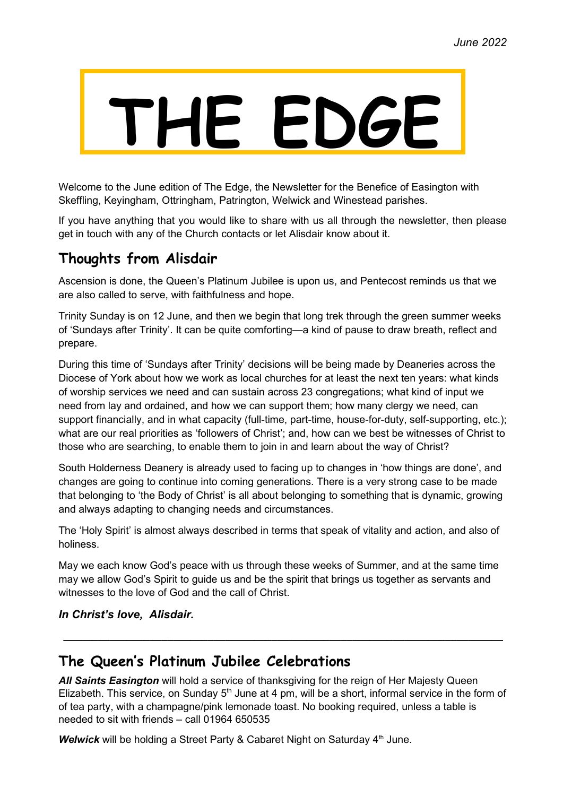# **THE EDGE**

Welcome to the June edition of The Edge, the Newsletter for the Benefice of Easington with Skeffling, Keyingham, Ottringham, Patrington, Welwick and Winestead parishes.

If you have anything that you would like to share with us all through the newsletter, then please get in touch with any of the Church contacts or let Alisdair know about it.

## **Thoughts from Alisdair**

Ascension is done, the Queen's Platinum Jubilee is upon us, and Pentecost reminds us that we are also called to serve, with faithfulness and hope.

Trinity Sunday is on 12 June, and then we begin that long trek through the green summer weeks of 'Sundays after Trinity'. It can be quite comforting—a kind of pause to draw breath, reflect and prepare.

During this time of 'Sundays after Trinity' decisions will be being made by Deaneries across the Diocese of York about how we work as local churches for at least the next ten years: what kinds of worship services we need and can sustain across 23 congregations; what kind of input we need from lay and ordained, and how we can support them; how many clergy we need, can support financially, and in what capacity (full-time, part-time, house-for-duty, self-supporting, etc.); what are our real priorities as 'followers of Christ'; and, how can we best be witnesses of Christ to those who are searching, to enable them to join in and learn about the way of Christ?

South Holderness Deanery is already used to facing up to changes in 'how things are done', and changes are going to continue into coming generations. There is a very strong case to be made that belonging to 'the Body of Christ' is all about belonging to something that is dynamic, growing and always adapting to changing needs and circumstances.

The 'Holy Spirit' is almost always described in terms that speak of vitality and action, and also of holiness.

May we each know God's peace with us through these weeks of Summer, and at the same time may we allow God's Spirit to guide us and be the spirit that brings us together as servants and witnesses to the love of God and the call of Christ.

*In Christ's love, Alisdair.*

## **The Queen's Platinum Jubilee Celebrations**

*All Saints Easington* will hold a service of thanksgiving for the reign of Her Majesty Queen Elizabeth. This service, on Sunday  $5<sup>th</sup>$  June at 4 pm, will be a short, informal service in the form of of tea party, with a champagne/pink lemonade toast. No booking required, unless a table is needed to sit with friends – call 01964 650535

**\_\_\_\_\_\_\_\_\_\_\_\_\_\_\_\_\_\_\_\_\_\_\_\_\_\_\_\_\_\_\_\_\_\_\_\_\_\_\_\_\_\_\_\_\_\_\_\_\_\_\_\_\_\_\_\_\_\_\_\_\_\_\_\_\_\_\_\_\_\_\_\_\_\_\_\_**

**Welwick** will be holding a Street Party & Cabaret Night on Saturday 4<sup>th</sup> June.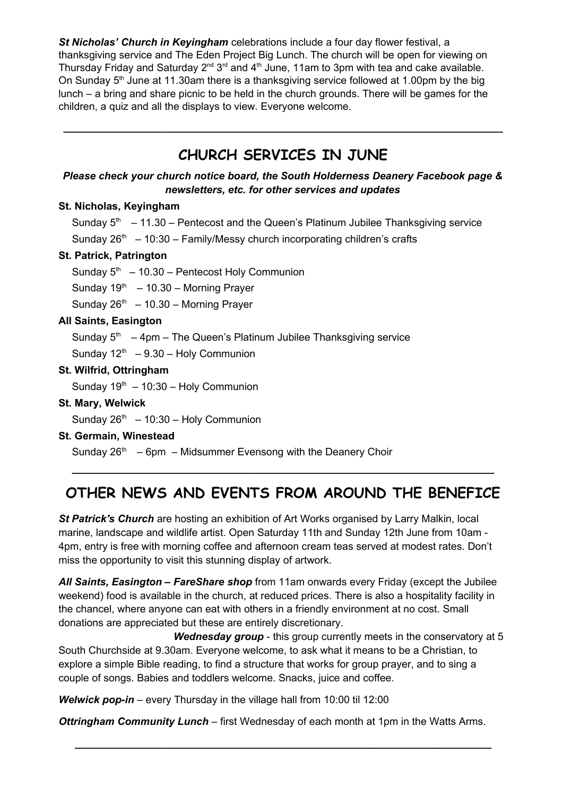*St Nicholas' Church in Keyingham* celebrations include a four day flower festival, a thanksgiving service and The Eden Project Big Lunch. The church will be open for viewing on Thursday Friday and Saturday  $2^{nd} 3^{rd}$  and  $4^{th}$  June, 11am to 3pm with tea and cake available. On Sunday  $5<sup>th</sup>$  June at 11.30am there is a thanksgiving service followed at 1.00pm by the big lunch – a bring and share picnic to be held in the church grounds. There will be games for the children, a quiz and all the displays to view. Everyone welcome.

# **CHURCH SERVICES IN JUNE**

**\_\_\_\_\_\_\_\_\_\_\_\_\_\_\_\_\_\_\_\_\_\_\_\_\_\_\_\_\_\_\_\_\_\_\_\_\_\_\_\_\_\_\_\_\_\_\_\_\_\_\_\_\_\_\_\_\_\_\_\_\_\_\_\_\_\_\_\_\_\_\_\_\_\_\_\_**

## *Please check your church notice board, the South Holderness Deanery Facebook page & newsletters, etc. for other services and updates*

## **St. Nicholas, Keyingham**

Sunday  $5<sup>th</sup> - 11.30$  – Pentecost and the Queen's Platinum Jubilee Thanksgiving service Sunday  $26<sup>th</sup> - 10:30$  – Family/Messy church incorporating children's crafts

## **St. Patrick, Patrington**

Sunday  $5<sup>th</sup> - 10.30$  – Pentecost Holy Communion

Sunday  $19<sup>th</sup> - 10.30 -$  Morning Prayer

Sunday  $26<sup>th</sup> - 10.30$  – Morning Prayer

## **All Saints, Easington**

Sunday  $5<sup>th</sup> - 4pm - 7$ he Queen's Platinum Jubilee Thanksgiving service

Sunday  $12<sup>th</sup> - 9.30 - Holy Communication$ 

## **St. Wilfrid, Ottringham**

Sunday  $19<sup>th</sup> - 10:30 - Holy Communication$ 

**St. Mary, Welwick**

Sunday  $26<sup>th</sup> - 10:30 - Holy Communication$ 

**St. Germain, Winestead**

Sunday  $26<sup>th</sup> - 6$ pm – Midsummer Evensong with the Deanery Choir

# **OTHER NEWS AND EVENTS FROM AROUND THE BENEFICE**

**\_\_\_\_\_\_\_\_\_\_\_\_\_\_\_\_\_\_\_\_\_\_\_\_\_\_\_\_\_\_\_\_\_\_\_\_\_\_\_\_\_\_\_\_\_\_\_\_\_\_\_\_\_\_\_\_\_\_\_\_\_\_\_\_\_\_\_\_\_\_\_\_\_**

*St Patrick's Church* are hosting an exhibition of Art Works organised by Larry Malkin, local marine, landscape and wildlife artist. Open Saturday 11th and Sunday 12th June from 10am - 4pm, entry is free with morning coffee and afternoon cream teas served at modest rates. Don't miss the opportunity to visit this stunning display of artwork.

*All Saints, Easington – FareShare shop* from 11am onwards every Friday (except the Jubilee weekend) food is available in the church, at reduced prices. There is also a hospitality facility in the chancel, where anyone can eat with others in a friendly environment at no cost. Small donations are appreciated but these are entirely discretionary.

*Wednesday group* - this group currently meets in the conservatory at 5 South Churchside at 9.30am. Everyone welcome, to ask what it means to be a Christian, to explore a simple Bible reading, to find a structure that works for group prayer, and to sing a couple of songs. Babies and toddlers welcome. Snacks, juice and coffee.

*Welwick pop-in* – every Thursday in the village hall from 10:00 til 12:00

*Ottringham Community Lunch* – first Wednesday of each month at 1pm in the Watts Arms.

**\_\_\_\_\_\_\_\_\_\_\_\_\_\_\_\_\_\_\_\_\_\_\_\_\_\_\_\_\_\_\_\_\_\_\_\_\_\_\_\_\_\_\_\_\_\_\_\_\_\_\_\_\_\_\_\_\_\_\_\_\_\_\_\_\_\_\_\_\_\_\_\_**